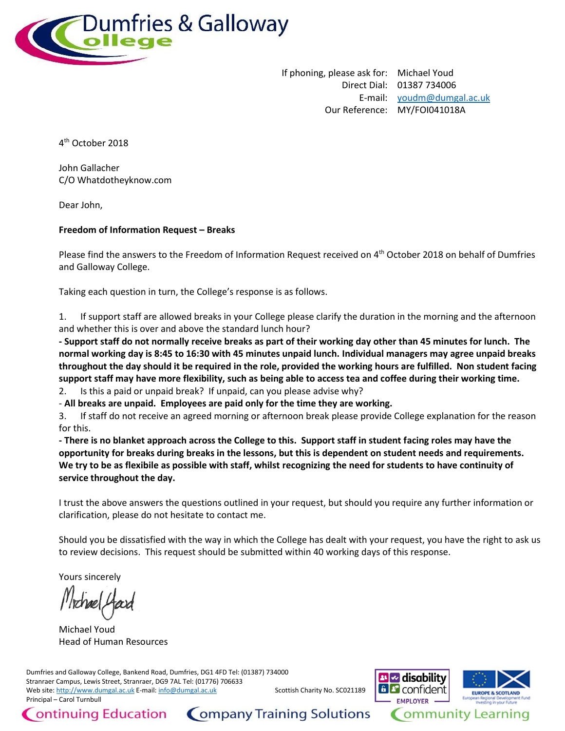

If phoning, please ask for: Michael Youd Direct Dial: 01387 734006 E-mail: [youdm@dumgal.ac.uk](mailto:xxxxx@xxxxxx.xx.xx) Our Reference: MY/FOI041018A

4 th October 2018

John Gallacher C/O Whatdotheyknow.com

Dear John,

## **Freedom of Information Request – Breaks**

Please find the answers to the Freedom of Information Request received on 4<sup>th</sup> October 2018 on behalf of Dumfries and Galloway College.

Taking each question in turn, the College's response is as follows.

1. If support staff are allowed breaks in your College please clarify the duration in the morning and the afternoon and whether this is over and above the standard lunch hour?

**- Support staff do not normally receive breaks as part of their working day other than 45 minutes for lunch. The normal working day is 8:45 to 16:30 with 45 minutes unpaid lunch. Individual managers may agree unpaid breaks throughout the day should it be required in the role, provided the working hours are fulfilled. Non student facing support staff may have more flexibility, such as being able to access tea and coffee during their working time.**

2. Is this a paid or unpaid break? If unpaid, can you please advise why?

- **All breaks are unpaid. Employees are paid only for the time they are working.**

3. If staff do not receive an agreed morning or afternoon break please provide College explanation for the reason for this.

**- There is no blanket approach across the College to this. Support staff in student facing roles may have the opportunity for breaks during breaks in the lessons, but this is dependent on student needs and requirements. We try to be as flexibile as possible with staff, whilst recognizing the need for students to have continuity of service throughout the day.**

I trust the above answers the questions outlined in your request, but should you require any further information or clarification, please do not hesitate to contact me.

Should you be dissatisfied with the way in which the College has dealt with your request, you have the right to ask us to review decisions. This request should be submitted within 40 working days of this response.

Yours sincerely

Michael Youd Head of Human Resources

Dumfries and Galloway College, Bankend Road, Dumfries, DG1 4FD Tel: (01387) 734000 Stranraer Campus, Lewis Street, Stranraer, DG9 7AL Tel: (01776) 706633 Web site[: http://www.dumgal.ac.uk](http://www.dumgal.ac.uk/) E-mail[: info@dumgal.ac.uk](mailto:xxxx@xxxxxx.xx.xx) Scottish Charity No. SC021189 Principal – Carol Turnbull





Company Training Solutions